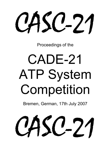CASC-21

Proceedings of the

# CADE-21 ATP System Competition

Bremen, German, 17th July 2007

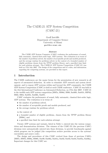# The CADE-21 ATP System Competition (CASC-21)

Geoff Sutcliffe Department of Computer Science University of Miami geoff@cs.miami.edu

### Abstract

The CADE ATP System Computer (CASC) evaluates the performance of sound, fully automatic, classical first-order logic, ATP systems. The evaluation is in terms of the number of problems solved, the number of acceptable proofs and models produced, and the average runtime for problems solved, in the context of a bounded number of eligible problems chosen from the TPTP problem library, and a specified time limit for each solution attempt. The CADE-21 ATP System Competition (CASC-21) was held on 17th July 2007. The design of the competition and it's rules, and information regarding the competing systems, are provided in this report.

# 1 Introduction

The CADE conferences are the major forum for the presentation of new research in all aspects of automated deduction. In order to stimulate ATP research and system development, and to expose ATP systems within and beyond the ATP community, the CADE ATP System Competition (CASC) is held at each CADE conference. CASC-21 was held at the 21st International Conference on Automated Deduction, on 17th July 2007. CASC-21 is the twelfth such ATP system competition [SS97a, SS98d, SS99, Sut00b, Sut01b, SSP02, SS03, SS04, Sut05b, Sut06b, Sut07].

CASC evaluates the performance of sound, fully automatic, classical first-order logic, ATP systems. The evaluation is in terms of:

- the number of problems solved,
- the number of acceptable proofs and models produced, and
- the average runtime for problems solved;

in the context of:

- a bounded number of eligible problems, chosen from the TPTP problem library [SS98c], and
- a specified time limit for each solution attempt.

Twenty ATP systems and variants, listed in Table 1, entered into the various competition and demonstration divisions. The winners of the CASC-J3 (the previous CASC) divisions were automatically entered into those divisions, to provide benchmarks against which progress can be judged (the competition archive provides access to the systems' executables and source code).

The design and procedures of this CASC evolved from those of previous CASCs [SS97c, SS97b, SS98a, SS98b, Sut99, Sut00a, Sut01a, Sut02, Sut03, Sut04, Sut05a, Sut06a]. Important changes for this CASC are: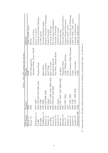| <b>ATP</b> System       | Divisions                                                                                                               | Table 1: The ATP systems and entrants<br>Entrants | Affiliation                         |
|-------------------------|-------------------------------------------------------------------------------------------------------------------------|---------------------------------------------------|-------------------------------------|
|                         |                                                                                                                         |                                                   |                                     |
| $\rm{Darwin\ 1.3}$      | <b>EPR</b>                                                                                                              | $\rm CASC$                                        | CASC-J3 EPR winner                  |
| Darwin 1.4              | <b>EPR</b>                                                                                                              | Peter Baumgartner,                                | NICTA,                              |
|                         |                                                                                                                         | Alexander Fuchs, Cesare Tinelli                   | University of Iowa                  |
| $\mbox{FM-Darwin}\ 1.4$ | $\text{FNT}^*$ SAT*                                                                                                     |                                                   | $Darwin$ 1.4 $variant$              |
| $E$ 0.999               | SAT EPR UEQ<br>FOF CNF FNT                                                                                              | Stephan Schulz                                    | Technische Universität München      |
| EP 0.999                | FOF* CNF*                                                                                                               |                                                   | $E$ 0.999 variant                   |
| E-KRHyper 1.0           | $\text{CNF}^*$ EPR                                                                                                      | Björn Pelzer                                      | University Koblenz-Landau           |
| Equinox 1.2             | UEQ<br>FOF CNF EPR                                                                                                      | Koen Claessen                                     | Chalmers University of Technology   |
| Fampire 1.3             |                                                                                                                         | Josef Urban                                       | Charles University                  |
| Geo 2007j               | $\begin{array}{l} \mbox{FOF (demo)}\\ \mbox{FOF*} \mbox{ FNT*} \mbox{ CNF*} \mbox{ SAT*} \mbox{ EPR UEQ}\\ \end{array}$ | Hans de Nivelle                                   | University of Wroclaw               |
| Prover 0.2              | FOF CNF FNT SAT EPR                                                                                                     | Konstantin Korovin                                | The University of Manchester        |
| $l$ ean $CoP 2.0$       | FOF                                                                                                                     | Jens Otten, Thomas Raths                          | University of Potsdam               |
| ileanCoP 1.2            | FOF (demo)                                                                                                              |                                                   | lean CoP 2.0 variant                |
| Metis 2.0               | $\rm FOF~CNF^{*}~FNT^{*}~SAT^{*}~EPR~UEQ$                                                                               | Joe Hurd                                          | Oxford University                   |
| Muscadet 2.7            | FOF                                                                                                                     | Dominque Pastre                                   | Université René Descartes Paris-5   |
| Otter 3.3               | FOF CNF <sup>*</sup> UEC                                                                                                | CASC, William McCune                              | Argonne National Laboratory         |
| Paradox $1.3$           | $\ensuremath{\mathrm{SAT}}^\ast$                                                                                        | CASC                                              | CASC-J3 SAT <sup>*</sup> winner     |
| Paradox 2.2             | FNT* SAT* EPR                                                                                                           | Koen Claessen, Niklas Sörensson                   | Chalmers University of Technology   |
| Vampire 8.1             | $FOF^*$ CNF <sup>*</sup>                                                                                                | CASC                                              | $CASC$ -J3 $FOF^*$ , $CNF^*$ winner |
| Vampire 9.0             | $\rm FOF^*$ CNF* EPR UEQ                                                                                                | Andrei Voronkov                                   | University of Manchester            |
| Waldmeister 806         | <b>UEQ</b>                                                                                                              | CASC                                              | CASC-J3 UEQ winner                  |

A<sup>\*</sup> superscript on a division indicates participation in the division's proof/model class - see Section 2. ∗ superscript on a division indicates participation in the division's proof/model class - see Section 2.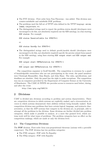- The FNT division First order form Non-Theorems was added. This division uses counter-satisfiable and satisfiable FOF problems.
- The problems used the full set of TPTP roles defined in the TPTP language: axiom, lemma, conjecture, etc.
- The distinguished strings used to report the problem status should (developers were encouraged to do this, not absolutely required) use the SZS ontology, in a line starting SZS status. For example

SZS status Unsatisfiable for SYN075+1 or

SZS status GaveUp for SYN075+1

• The distinguished strings used to delimit proofs/models should (developers were encouraged to do this, not absolutely required) specify the precise output form named in the SZS ontology, using lines starting SZS output start and SZS output end. For example

```
SZS output start CNFRefutation for SYN075-1
  ...
SZS output end CNFRefutation for SYN075-1
```
The competition organizer is Geoff Sutcliffe. The competition is overseen by a panel of knowledgeable researchers who are not participating in the event; the panel members were Christoph Benzmüller, Alan Bundy, and John Slane. The rules, specifications, and deadlines are absolute. Only the panel has the right to make exceptions. The competition was run on computers provided by the Department of Computer Science at the University of Manchester. The CASC-21 WWW site provides access to resources used before, during, and after the event:

```
http://www.tptp.org/CASC/21
```
# 2 Divisions

CASC is divided into divisions according to problem and system characteristics. There are competition divisions in which systems are explicitly ranked, and a demonstration division in which systems demonstrate their abilities without being formally ranked. Each competition division uses problems that have certain logical, language, and syntactic characteristics, so that the ATP systems that compete in the division are, in principle, able to attempt all the problems in the division. Some divisions are further divided into problem categories, which make it possible to analyze, at a more fine grained level, which systems work well for what types of problems. The problem categories have no effect on the competition rankings, which are made at only the division level.

# 2.1 The Competition Divisions

The FOF division: First-order form non-propositional theorems (axioms with a provable conjecture). The FOF division has two problem categories:

- The FNE category: FOF with No Equality
- The FEQ category: FOF with Equality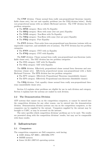The CNF division: Clause normal form really non-propositional theorems (unsatisfiable clause sets), but not unit equality problems (see the UEQ division below). Really non-propositional means with an infinite Herbrand universe. The CNF division has five problem categories:

- The **HNE** category: Horn with No Equality
- The **HEQ** category: Horn with some (but not pure) Equality
- The NNE category: Non-Horn with No Equality
- The **NEQ** category: Non-Horn with some (but not pure) Equality
- The **PEQ** category: Pure Equality

The FNT division: First-order form non-propositional non-theorems (axioms with an unprovable conjecture, and satisfiable sets of axioms). The FNT division has two problem categories:

- The **FNN** category: FNT with no Equality
- The **FNQ** category: FNT with Equality

The SAT division: Clause normal form really non-propositional non-theorems (satisfiable clause sets). The SAT division has two problem categories:

- The SNE category: SAT with No Equality
- The SEQ category: SAT with Equality

The EPR division: Effectively propositional clause normal form theorems and nontheorems (clause sets). Effectively propositional means non-propositional with a finite Herbrand Universe. The EPR division has two problem categories:

- The EPT category: Effectively Propositional Theorems (unsatisfiable clauses)
- The EPS category: Effectively Propositional non-theorems (Satisfiable clauses)

The UEQ division: Unit equality clause normal form really non-propositional theorems (unsatisfiable clause sets).

Section 3.2 explains what problems are eligible for use in each division and category. Section 4 explains how the systems are ranked in each division.

### 2.2 The Demonstration Division

ATP systems that cannot run on the competition computers, or cannot be entered into the competition divisions for any other reason, can be entered into the demonstration division. Demonstration division systems can run on the competition computers, or the computers can be supplied by the entrant. Computers supplied by the entrant may be brought to CASC, or may be accessed via the internet.

The entry specifies which competition divisions' problems are to be used. The results are presented along with the competition divisions' results, but may not be comparable with those results.

# 3 Infrastructure

### 3.1 Computers

The competition computers are Dell computers, each having:

- AMD Athlon XP 3000+, 2091MHz CPU
- 503MB memory
- Linux 2.6.20-1.2307.fc5 operating system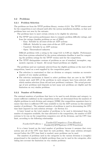# 3.2 Problems

### 3.2.1 Problem Selection

The problems are from the TPTP problem library, version v3.2.0. The TPTP version used for the competition is not released until after the system installation deadline, so that new problems have not seen by the entrants.

The problems have to meet certain criteria to be eligible for selection:

- The TPTP uses system performance data to compute problem difficulty ratings, and from the ratings classifies problems as one of [SS01]:
	- Easy: Solvable by all state-of-the-art ATP systems
	- Difficult: Solvable by some state-of-the-art ATP systems
	- Unsolved: Solvable by no ATP systems
	- Open: Theoremhood unknown

Difficult problems with a rating in the range 0.21 to 0.99 are eligible. Performance data from systems submitted by the system submission deadline is used for computing the problem ratings for the TPTP version used for the competition.

• The TPTP distinguishes versions of problems as one of standard, incomplete, augmented, especial, or biased. All except biased problems are eligible.

The problems used are randomly selected from the eligible problems at the start of the competition, based on a seed supplied by the competition panel.

- The selection is constrained so that no division or category contains an excessive number of very similar problems.
- The selection mechanism is biased to select problems that are new in the TPTP version used, until 50% of the problems in each category have been selected, after which random selection (from old and new problems) continues. The actual percentage of new problems used depends on how many new problems are eligible and the limitation on very similar problems.

### 3.2.2 Number of Problems

The minimal numbers of problems that have to be used in each division and category, to ensure sufficient confidence in the competition results, are determined from the numbers of eligible problems in each division and category [GS96] (the competition organizers have to ensure that there is sufficient CPU time available to run the ATP systems on this minimal number of problems). The minimal numbers of problems is used in determining the CPU time limit imposed on each solution attempt - see Section 3.3.

A lower bound on the total number of problems to be used is determined from the number of computers available, the time allocated to the competition, the number of ATP systems to be run on the competition computers over all the divisions, and the CPU time limit, according to the following relationship:

$$
NumberOfProblems = \frac{NumberOfComputers*TimeAllocated}{NumberOfATPSystems*CPUTimeLimit}
$$

It is a lower bound on the total number of problems because it assumes that every system uses all of the CPU time limit for each problem. Since some solution attempts succeed before the CPU time limit is reached, more problems can be used.

The numbers of problems used in the categories in the various divisions is (roughly) proportional to the numbers of eligible problems than can be used in the categories, after taking into account the limitation on very similar problems.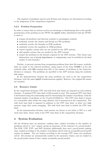The numbers of problems used in each division and category are determined according to the judgement of the competition organizers.

### 3.2.3 Problem Preparation

In order to ensure that no system receives an advantage or disadvantage due to the specific presentation of the problems in the TPTP, the tptp2X utility (distributed with the TPTP) is used to:

- rename all predicate and function symbols to meaningless symbols
- randomly reorder the clauses and literals in CNF problems
- randomly reorder the formulae in FOF problems
- randomly reverse the equalities in UEQ problems
- remove equality axioms that are not needed by the ATP systems
- add equality axioms that are needed by the ATP systems
- output the problems in the formats required by the ATP systems. (The clause type information, one of axiom, hypothesis, or conjecture, may be included in the final output of each formula.)

Further, to prevent systems from recognizing problems from their file names, symbolic links are made to the selected problems, using names of the form CCCNNN-1.p for the symbolic links, with NNN running from 001 to the number of problems in the respective division or category. The problems are specified to the ATP systems using the symbolic link names.

In the demonstration division the same problems are used as for the competition divisions, with the same tptp2X transformations applied. However, the original file names are retained.

## 3.3 Resource Limits

In the competition divisions, CPU and wall clock time limits are imposed on each solution attempt. A minimal CPU time limit of 240 seconds is used. The maximal CPU time limit is determined using the relationship used for determining the number of problems, with the minimal number of problems as the *NumberOfRoblems*. The CPU time limit is chosen as a reasonable value within the range allowed, and is announced at the competition. The wall clock time limit is imposed in addition to the CPU time limit, to limit very high memory usage that causes swapping. The wall clock time limit is double the CPU time limit.

In the demonstration division, each entrant can choose to use either a CPU or a wall clock time limit, whose value is the CPU time limit of the competition divisions.

# 4 System Evaluation

All the divisions have an assurance ranking class, ranked according to the number of problems solved (a "yes" output, giving an assurance of the existence of a proof/model). The FOF, CNF, FNT, and SAT divisions additionally have and a proof/model ranking class, ranked according to the number of problems solved with an acceptable proof/model output on stdout. Ties are broken according to the average CPU times over problems solved. All systems are automatically ranked in the assurance classes, and are ranked in the proof/model classes if they output acceptable proofs/models.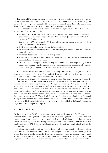For each ATP system, for each problem, three items of data are recorded: whether or not a solution was found, the CPU time taken, and whether or not a solution (proof or model) was output on stdout. The systems are ranked from this performance data. Division and class winners are announced and prizes are awarded.

The competition panel decides whether or not the systems' proofs and models are acceptable. The criteria include:

- Derivations must be complete, starting at formulae from the problem, and ending at the conjecture (for axiomatic proofs) or a *false* formula (for proofs by contradiction, including CNF refutations).
- For proofs of FOF problems by CNF refutation, the conversion from FOF to CNF must be adequately documented.
- Derivations must show only relevant inference steps.
- Inference steps must document the parent formulae, the inference rule used, and the inferred formula.
- Inference steps must be reasonably fine-grained.
- An unsatisfiable set of ground instances of clauses is acceptable for establishing the unsatisfiability of a set of clauses.
- Models must be complete, documenting the domain, function maps, and predicate maps. The domain, function maps, and predicate maps may be specified by explicit ground lists (of mappings), or by any clear, terminating algorithm.

In the assurance classes, and the EPR and UEQ divisions, the ATP systems are not required to output solutions (proofs or models). However, systems that do output solutions to stdout are highlighted in the presentation of results.

If a system is found to be unsound during or after the competition, but before the competition report is published, and it cannot be shown that the unsoundness did not manifest itself in the competition, then the system is retrospectively disqualified. At some time after the competition, all high ranking systems in each division are tested over the entire TPTP. This provides a final check for soundness (see Section 6.1 Properties regarding soundness checking before the competition). At some time after the competition, the proofs from the winners of the CNF and FOF division proof classes, and the models from the winners of the FNT and SAT division model classes, are checked by the panel. If any of the proofs or models are unacceptable, i.e., they are significantly worse than the samples provided, then that system is retrospectively disqualified. All disqualifications are explained in the competition report.

# 5 System Entry

To be entered into CASC, systems have to be registered using the CASC system registration form. No registrations are accepted after the registration deadline. For each system entered, an entrant has to be nominated to handle all issues (including execution difficulties) arising before and during the competition. The nominated entrant must formally register for CASC. However, it is not necessary for entrants to physically attend the competition.

Systems can be entered at only the division level, and can be entered into more than one division (a system that is not entered into a competition division is assumed to perform worse than the entered systems, for that type of problem - wimping out is not an option). Entering many similar versions of the same system is deprecated, and entrants may be required to limit the number of system versions that they enter. The division winners from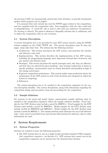the previous CASC are automatically entered into their divisions, to provide benchmarks against which progress can be judged.

It is assumed that each entrant has read the WWW pages related to the competition, and has complied with the competition rules. Non-compliance with the rules could lead to disqualification. A "catch-all" rule is used to deal with any unforseen circumstances: No cheating is allowed. The panel is allowed to disqualify entrants due to unfairness, and to adjust the competition rules in case of misuse.

# 5.1 System Description

A system description has to be provided for each ATP system entered, using the HTML schema supplied on the CASC WWW site. The system description must fit onto two pages, using 12pt times font. The schema has the following sections:

- Architecture. This section introduces the ATP system, and describes the calculus and inference rules used.
- Implementation. This section describes the implementation of the ATP system, including the programming language used, important internal data structures, and any special code libraries used.
- Strategies. This section describes the search strategies used, why they are effective, and how they are selected for given problems. Any strategy tuning that is based on specific problems' characteristics must be clearly described (and justified in light of the tuning restrictions).
- Expected competition performance. This section makes some predictions about the performance of the ATP system in each of the divisions and categories in which the system is competing.
- References.

The system description has to be emailed to the competition organizers by the system description deadline. The system descriptions, along with information regarding the competition design and procedures, form the proceedings for the competition.

# 5.2 Sample Solutions

For systems in the proof and model classes, representative sample solutions must be emailed to the competition organizers before the sample solutions deadline. Proof samples for the CNF division must include a proof for SYN075-1. Proof samples for the FOF division must include a proof for SYN075+1. Model samples for the FNT division must include models for MGT019+2 and SWV010+1. Model samples for the SAT division must include a model for MGT031-1. The sample solutions must illustrate the use of all inference rules. A key must be provided if any non-obvious abbreviations for inference rules or other information are used.

# 6 System Requirements

# 6.1 System Properties

Systems are required to have the following properties:

• The ATP systems have to run on a single locally provided standard UNIX computer (the competition computers - see Section 3.1). ATP systems that cannot run on the competition computers can be entered into the demonstration division.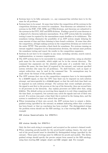- Systems have to be fully automatic, i.e., any command line switches have to be the same for all problems.
- Systems have to be sound. At some time before the competition all the systems in the competition divisions are tested for soundness. Non-theorems are submitted to the systems in the FOF, CNF, EPR, and UEQ divisions, and theorems are submitted to the systems in the FNT, SAT and EPR divisions. Finding a proof of a non-theorem or a disproof of a theorem indicates unsoundness. If an ATP system fails the soundness testing it must be repaired by the unsoundness repair deadline or be withdrawn. The soundness testing eliminates the possibility of an ATP system simply delaying for some amount of time and then claiming to have found a solution. At some time after the competition, all high ranking systems in the competition divisions are tested over the entire TPTP. This provides a final check for soundness. For systems running on entrant supplied computers in the demonstration division, the entrant must perform the soundness testing and report the results to the competition organizers.
- Systems do not have to be complete in any sense, including calculus, search control, implementation, or resource requirements.
- The ATP systems have to be executable by a single command line, using an absolute path name for the executable, which might not be in the current directory. The command line arguments are the absolute path name of a symbolic link as the problem file name, the time limit (if required by the entrant), and entrant specified system switches (the same for all problems). No shell features, such as input or output redirection, may be used in the command line. No assumptions may be made about the format of the problem file name.
- The ATP systems that run on the competition computers have to be interruptable by a SIGXCPU signal, so that the CPU time limit can be imposed on each solution attempt, and interruptable by a SIGALRM signal, so that the wall clock time limit can be imposed on each solution attempt. For systems that create multiple processes, the signal is sent first to the process at the top of the hierarchy, then one second later to all processes in the hierarchy. Any orphan processes are killed after that, using SIGKILL. The default action on receiving these signals is to exit (thus complying with the time limit, as required), but systems may catch the signals and exit of their own accord. If a system runs past a time limit this is noticed in the timing data, and the system is considered to have not solved that problem.
- When terminating of their own accord, the ATP systems have to output a distinguished string (specified by the entrant) on stdout indicating either that a solution has been found, or that no conclusion has been reached. The distinguished strings the problem status should use the SZS ontology, in a line starting SZS status. For example

```
SZS status Unsatisfiable for SYN075+1
```

```
or
```
# SZS status GaveUp for SYN075+1

Only the first such string is recognized, and accepted as the system's claimed result. • When outputing proofs/models for the proof/model ranking classes, the start and end of the proof/model must be identified by distinguished strings (specified by the entrant). These pairs of strings must be different for proofs and models. The distinguished strings should specify the precise output form named in the SZS ontology, using lines starting SZS output start and SZS output end. For example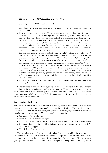SZS output start CNFRefutation for SYN075-1 ... SZS output end CNFRefutation for SYN075-1

The string specifying the problem status must be output before the start of a proof/model.

- If an ATP system terminates of its own accord, it may not leave any temporary or other output files. If an ATP system is terminated by a SIGXCPU or SIGALRM, it may not leave any temporary or other output files anywhere other than in /tmp. Multiple copies of the ATP systems have to be executable concurrently on different machines but in the same (NFS cross mounted) directory. It is therefore necessary to avoid producing temporary files that do not have unique names, with respect to the machines and other processes. An adequate solution is a file name including the host machine name and the process id.
- For practical reasons excessive output from the ATP systems is not allowed. A limit, dependent on the disk space available, is imposed on the amount of stdout and stderr output that can be produced. The limit is at least 10KB per problem (averaged over all problems so that it is possible to produce some long proofs).
- The precomputation and storage of any information specifically about TPTP problems is not allowed. Strategies and strategy selection based on the characteristics of a few specific TPTP problems are not allowed, i.e., strategies and strategy selection must be general purpose and expected to extend usefully to new unseen problems. If automatic strategy learning procedures are used, the learning must ensure that sufficient generalization is obtained, and that no learning at the individual problem level is performed.
- For every problem solved, the system's solution process must be reproducible by running the system again.

Entrants must ensure that their systems execute in a competition-like environment, according to the system checks described in Section 6.4. Entrants are advised to perform these checks well in advance of the system installation deadline. This gives the competition organizers time to help resolve any difficulties encountered. Entrants will not have access to the competition computers.

# 6.2 System Delivery

For systems running on the competition computers, entrants must email an installation package to the competition organizers by the installation deadline. The installation package must be a .tar.gz file containing the system source code, any other files required for installation, and a ReadMe file. The ReadMe file must contain:

- Instructions for installation
- Instructions for executing the system
- Format of problem files, in the form of tptp2X format and transformation parameters.
- Command line, using %s and %d to indicate where the problem file name and CPU time limit must appear.
- The distinguished strings output.

The installation procedure may require changing path variables, invoking make or something similar, etc, but nothing unreasonably complicated. All system binaries must be created in the installation process; they cannot be delivered as part of the installation package. The system is reinstalled onto the competition computers by the competition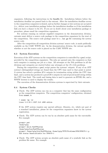organizers, following the instructions in the ReadMe file. Installation failures before the installation deadline are passed back to the entrant. After the installation deadline access to the competition computers is denied, and no further changes or late systems are accepted (i.e., deliver your installation package before the installation deadline so if the installation fails you have a chance to fix it!). If you are in doubt about your installation package or procedure, please email the competition organizers.

For systems running on entrant supplied computers in the demonstration division, entrants must deliver a source code package to the competition organizers by the start of the competition. The source code package must be a  $tan.gz$  file containing the system source code.

After the competition all competition division systems' source code, is made publically available on the CASC WWW site. In the demonstration division, the entrant specifies whether or not the source code is placed on the CASC WWW site.

### 6.3 System Execution

Execution of the ATP systems on the competition computers is controlled by a perl script, provided by the competition organizers. The jobs are queued onto the computers so that each computer is running one job at a time. All attempts at the Nth problems in all the divisions and categories are started before any attempts at the  $(N+1)$ <sup>th</sup> problems.

During the competition a perl script parses the systems' outputs. If any of an ATP system's distinguished strings are found then the CPU time used to that point is noted. A system has solved a problem iff it outputs its termination string within the CPU time limit, and a system has produced a proof iff it outputs its end-of-proof/model string within the CPU time limit. The result and timing data is used to generate an HTML file, and a WWW browser is used to display the results.

The execution of the demonstration division systems is supervised by their entrants.

### 6.4 System Checks

• Check: The ATP system can run on a computer that has the same configuration as the competition computers. The competition computers' configuration, obtained from uname, is:

> uname -mp -sr Linux 2.6.20-1.2307.fc5 i686 athlon

If the ATP system requires any special software, libraries, etc, which not part of a standard installation, please let the competition organizers know in the system registration.

• Check: The ATP system can be run by an absolute path name for the executable. For example

```
prompt> pwd
/home/tptp
prompt> which MyATPSystem
/home/tptp/bin/MyATPSystem
prompt> /home/tptp/bin/MyATPSystem /home/tptp/TPTP/Problems/SYN/SYN075-1.p
SZS status Unsatisfiable for SYN075-1
```
• Check: The ATP system accepts an absolute path name of a symbolic link as the problem file name. For example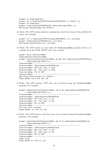```
prompt> cd /home/tptp/tmp
prompt> ln -s /home/tptp/TPTP/Problems/SYN/SYN075-1.p CCC001-1.p
prompt> cd /home/tptp
prompt> /home/tptp/bin/MyATPSystem /home/tptp/tmp/CCC001-1.p
SZS status Unsatisfiable for CCC001-1
```
• Check: The ATP system makes no assumptions about the format of the problem file name. For example

```
prompt> ln -s /home/tptp/TPTP/Problems/GRP/GRP001-1.p \_foo-Blah
prompt> /home/tptp/bin/MyATPSystem \_foo-Blah
SZS status Unsatisfiable for _foo-Blah
```
• Check: The ATP system can run under the TreeLimitedRun program (sources are available from the CASC WWW site). For example

```
prompt> which TreeLimitedRun
/home/tptp/bin/TreeLimitedRun
prompt> /home/tptp/bin/TreeLimitedRun -q0 200 400 /home/tptp/bin/MyATPSystem
        /home/tptp/tmp/CCC001-1.p
TreeLimitedRun: ------------------------------------------------
TreeLimitedRun: /home/tptp/bin/MyATPSystem
TreeLimitedRun: CPU time limit is 200s
TreeLimitedRun: WC time limit is 400s
TreeLimitedRun: PID is 4867
TreeLimitedRun: ------------------------------------------------
SZS status Unsatisfiable for CCC001-1
FINAL WATCH: 147.8 CPU 150.0 WC
```
• Check: The ATP system's CPU time can be limited using the TreeLimitedRun program. For example

```
prompt> /home/tptp/bin/TreeLimitedRun -q0 10 20 /home/tptp/bin/MyATPSystem
        /home/tptp/tmp/CCC001-1.p
TreeLimitedRun: ------------------------------------------------
TreeLimitedRun: /home/tptp/bin/MyATPSystem
TreeLimitedRun: CPU time limit is 10s
TreeLimitedRun: WC time limit is 20s
TreeLimitedRun: PID is 5827
TreeLimitedRun: ------------------------------------------------
CPU time limit exceeded
FINAL WATCH: 10.7 CPU 13.1 WC
```
• Check: The ATP system's wall clock time can be limited using the TreeLimitedRun program. For example

```
prompt> /home/tptp/bin/TreeLimitedRun -q0 20 10 /home/tptp/bin/MyATPSystem
        /home/tptp/tmp/CCC001-1.p
TreeLimitedRun: ------------------------------------------------
TreeLimitedRun: /home/tptp/bin/MyATPSystem
TreeLimitedRun: CPU time limit is 20s
TreeLimitedRun: WC time limit is 10s
TreeLimitedRun: PID is 5827
TreeLimitedRun: ------------------------------------------------
Alarm clock
FINAL WATCH: 9.7 CPU 10.1 WC
```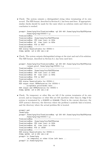• Check: The system outputs a distinguished string when terminating of its own accord. The SZS format, described in Section 6.1, has been used here. If appropriate, similar checks should be made for the cases where no solution exists and where no conclusion is reached.

```
prompt> /home/tptp/bin/TreeLimitedRun -q0 200 400 /home/tptp/bin/MyATPSystem
        /home/tptp/tmp/CCC001-1.p
TreeLimitedRun: ---------------------
TreeLimitedRun: /home/tptp/bin/MyATPSystem
TreeLimitedRun: CPU time limit is 200s
TreeLimitedRun: WC time limit is 400s
TreeLimitedRun: PID is 5827
TreeLimitedRun: ------------------------------------------------
SZS status Unsatisfiable for CCC001-1
FINAL WATCH: 147.8 CPU 150.0 WC
```
• Check: The system outputs distinguished strings at the start and end of its solution. The SZS format, described in Section 6.1, has been used here.

```
prompt> /home/tptp/bin/TreeLimitedRun -q0 200 400 /home/tptp/bin/MyATPSystem
        -output_proof /home/tptp/tmp/CCC001-1.p
TreeLimitedRun: ------------------------------------------------
TreeLimitedRun: /home/tptp/bin/MyATPSystem
TreeLimitedRun: CPU time limit is 200s
TreeLimitedRun: WC time limit is 400s
TreeLimitedRun: PID is 5827
TreeLimitedRun: ------------------------------------------------
SZS status Unsatisfiable for CCC001-1
SZS output start CNFRefutation for CCC001-1
    ... acceptable proof/model here ...
SZS output end CNFRefutation for CCC001-1
FINAL WATCH: 147.8 CPU 150.0 WC
```
• Check: No temporary or other files are left if the system terminates of its own accord, and no temporary or other files are left anywhere other than in /tmp if the system is terminated by a SIGXCPU or SIGALRM. Check in the current directory, the ATP system's directory, the directory where the problem's symbolic link is located, and the directory where the actual problem file is located.

```
prompt> pwd
/home/tptp
prompt> /home/tptp/bin/TreeLimitedRun -q0 200 400 /home/tptp/bin/MyATPSystem
        /home/tptp/tmp/CCC001-1.p
TreeLimitedRun: ------------------------------------------------
TreeLimitedRun: /home/tptp/bin/MyATPSystem
TreeLimitedRun: CPU time limit is 200s
TreeLimitedRun: WC time limit is 400s
TreeLimitedRun: PID is 13526
TreeLimitedRun: ------------------------------------------------
SZS status Unsatisfiable for CCC001-1
FINAL WATCH: 147.8 CPU 150.0 WC
prompt> ls /home/tptp
    ... no temporary or other files left here ...
prompt> ls /home/tptp/bin
```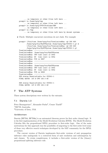```
... no temporary or other files left here ...
prompt> ls /home/tptp/tmp
    ... no temporary or other files left here ...
prompt> ls /home/tptp/TPTP/Problems/GRP
    ... no temporary or other files left here ...
prompt> ls /tmp
     ... no temporary or other files left here by decent systems ...
```
### • Check: Multiple concurrent executions do not clash. For example

```
prompt> (/bin/time /home/tptp/bin/TreeLimitedRun -q0 200 400
        /home/tptp/bin/MyATPSystem /home/tptp/tmp/CCC001-1.p) &
        (/bin/time /home/tptp/bin/TreeLimitedRun -q0 200 400
        /home/tptp/bin/MyATPSystem /home/tptp/tmp/CCC001-1.p)
TreeLimitedRun: ------------------------------------------------
TreeLimitedRun: /home/tptp/bin/MyATPSystem
TreeLimitedRun: CPU time limit is 200s
TreeLimitedRun: WC time limit is 400s
TreeLimitedRun: PID is 5827
TreeLimitedRun: ------------------------------------------------
TreeLimitedRun: ------------------------------------------------
TreeLimitedRun: /home/tptp/bin/MyATPSystem
TreeLimitedRun: CPU time limit is 200s
TreeLimitedRun: WC time limit is 400s
TreeLimitedRun: PID is 5829
TreeLimitedRun: ------------------------------------------------
SZS status Unsatisfiable for CCC001-1
FINAL WATCH: 147.8 CPU 150.0 WC
SZS status Unsatisfiable for CCC001-1
FINAL WATCH: 147.8 CPU 150.0 WC
```
# 7 The ATP Systems

These system descriptions were written by the entrants.

### 7.1 Darwin 1.3

Peter Baumgartner<sup>1</sup>, Alexander Fuchs<sup>2</sup>, Cesare Tinelli<sup>2</sup> <sup>1</sup>NICTA Australia, <sup>2</sup>University of Iowa, USA

### Architecture

Darwin [BFT04, BFT06a] is an automated theorem prover for first order clausal logic. It is the first implementation of the Model Evolution Calculus [BT03]. The Model Evolution Calculus lifts the propositional DPLL procedure to first-order logic. One of the main motivations for this approach was the possibility of migrating to the first-order level some of those very effective search techniques developed by the SAT community for the DPLL procedure.

The current version of Darwin implements first-order versions of unit propagation inference rules analogously to a restricted form of unit resolution and subsumption by unit clauses. To retain completeness, it includes a first-order version of the (binary) propositional splitting inference rule.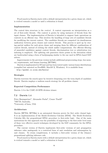Proof search in Darwin starts with a default interpretation for a given clause set, which is evolved towards a model or until a refutation is found.

### Implementation

The central data structure is the context. A context represents an interpretation as a set of first-order literals. The context is grown by using instances of literals from the input clauses. The implementation of Darwin is intended to support basic operations on contexts in an efficient way. This involves the handling of large sets of candidate literals for modifying the current context. The candidate literals are computed via simultaneous unification between given clauses and context literals. This process is sped up by storing partial unifiers for each given clause and merging them for different combinations of context literals, instead of redoing the whole unifier computations. For efficient filtering of unneeded candidates against context literals, discrimination tree or substitution tree indexing is employed. The splitting rule generates choice points in the derivation which are backtracked using a form of backjumping similar to the one used in DPLL-based SAT solvers.

Improvements to the previous version include additional preprocessing steps, less memory requirements, and lemma learning [BFT06b].

Darwin is implemented in OCaml and has been tested under various Linux distributions (compiled but untested on FreeBSD, MacOS X, Windows). It is available from:

http://goedel.cs.uiowa.edu/Darwin/

### Strategies

Darwin traverses the search space by iterative deepening over the term depth of candidate literals. Darwin employs a uniform search strategy for all problem classes.

### Expected Competition Performance

Darwin 1.3 is the CASC-J3 EPR division winner.

# 7.2 Darwin 1.4

Peter Baumgartner<sup>1</sup>, Alexander Fuchs<sup>2</sup>, Cesare Tinelli<sup>2</sup> <sup>1</sup>NICTA Australia. <sup>2</sup>University of Iowa, USA

### Architecture

Darwin [BFT04, BFT06a] is an automated theorem prover for first order clausal logic. It is an implementation of the Model Evolution Calculus [BT03]. The Model Evolution Calculus lifts the propositional DPLL procedure to first-order logic. One of the main motivations for this approach was the possibility of migrating to the first-order level some of those very effective search techniques developed by the SAT community for the DPLL procedure.

The current version of Darwin implements first-order versions of unit propagation inference rules analogously to a restricted form of unit resolution and subsumption by unit clauses. To retain completeness, it includes a first-order version of the (binary) propositional splitting inference rule.

Proof search in Darwin starts with a default interpretation for a given clause set, which is evolved towards a model or until a refutation is found.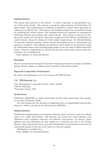### Implementation

The central data structure is the context. A context represents an interpretation as a set of first-order literals. The context is grown by using instances of literals from the input clauses. The implementation of Darwin is intended to support basic operations on contexts in an efficient way. This involves the handling of large sets of candidate literals for modifying the current context. The candidate literals are computed via simultaneous unification between given clauses and context literals. This process is sped up by storing partial unifiers for each given clause and merging them for different combinations of context literals, instead of redoing the whole unifier computations. For efficient filtering of unneeded candidates against context literals, discrimination tree or substitution tree indexing is employed. The splitting rule generates choice points in the derivation which are backtracked using a form of backjumping similar to the one used in DPLL-based SAT solvers. Darwin is implemented in OCaml and has been tested under various Linux distributions. It is available from

http://goedel.cs.uiowa.edu/Darwin/

### Strategies

Darwin traverses the search space by iterative deepening over the term depth of candidate literals. Darwin employs a uniform search strategy for all problem classes.

### Expected Competition Performance

We expect its performance to be very strong in the EPR division.

# 7.3 FM-Darwin 1.4

Peter Baumgartner<sup>1</sup>, Alexander Fuchs<sup>2</sup>, Cesare Tinelli<sup>2</sup> <sup>1</sup>NICTA Australia, <sup>2</sup>University of Iowa, USA

# Architecture

FM-Darwin [BFdNT06] is a finite model finder for first order clausal logic with equality, in the spirit of Paradox [CS03].

For each domain size the problem is transformed into an equisatisfiable function-free clause set, which is decided by the Darwin prover [BFT06a].

### Implementation

FM-Darwin is implemented as an extension to Darwin, which can now be used in its default mode or as a finite model finder. Like Paradox, the system uses clause splitting, term definitions, static symmetry reduction, sort inference, and lemmas. In contrast, clause splitting and term definitions are only applied in a restricted way, that is for variable disjunct clause and ground terms, as ground instantiation is not performed and thus the exponential increase in the size of the clause set does not happen.

FM-Darwin is available from http://goedel.cs.uiowa.edu/Darwin/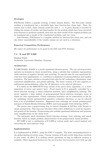### Strategies

FM-Darwin follows a popular strategy of finite domain finders. The first-order clausal problem is transformed into a decidable logic, here function-free clause logic. Then, the system tries to find a finite domain model for sizes 1 .. n. A given domain is encoded by adding the axioms of totality and functionality for the symbols which have been converted from function to predicate symbols, such that any finite model of the original problem can be translated into a model of the transformed problem, and vice versa.

Like Paradox, FM-Darwin is a complete method for function-free clause sets, and can also detect unsatisfiability if the totality axioms are not used in a refutation.

### Expected Competition Performance

We expect its performance to be good in the SAT and FNT divisions.

### 7.4 E and EP 0.999

Stephan Schulz Technische Universität München, Germany

### Architecture

E 0.999 [Sch02a, Sch04b] is a purely equational theorem prover. The core proof procedure operates on formulas in clause normal form, using a calculus that combines superposition (with selection of negative literals) and rewriting. No special rules for non-equational literals have been implemented, i.e., resolution is simulated via paramodulation and equality resolution. The basic calculus is extended with rules for AC redundancy elimination, some contextual simplification, and pseudo-splitting. The latest versions of E also supports simultaneous paramodulation, either for all inferences or for selected inferences.

E is based on the DISCOUNT-loop variant of the given-clause algorithm, i.e. a strict separation of active and passive facts. Proof search in E is primarily controlled by a literal selection strategy, a clause evaluation heuristic, and a simplification ordering. The prover supports a large number of preprogrammed literal selection strategies, many of which are only experimental. Clause evaluation heuristics can be constructed on the fly by combining various parameterized primitive evaluation functions, or can be selected from a set of predefined heuristics. Supported term orderings are several parameterized instances of Knuth-Bendix-Ordering (KBO) and Lexicographic Path Ordering (LPO).

The prover uses a preprocessing step to convert formulas in full first order format to clause normal form. This step may introduce (first-order) definitions to avoid an exponential growth of the formula. Preprocessing also unfolds equational definitions and performs some simplifications on the clause level.

The automatic mode determines literal selection strategy, term ordering, and search heuristic based on simple problem characteristics of the preprocessed clausal problem.

EP 0.999 is just a combination of E 0.999 in verbose mode and a proof analysis tool extracting the used inference steps.

### Implementation

E is implemented in ANSI C, using the GNU C compiler. The most outstanding feature is the global sharing of rewrite steps. Current versions of E add rewrite links from rewritten to new terms. In effect, E is caching rewrite operations as long as sufficient memory is available. Other important features are the use of perfect discrimination trees with age and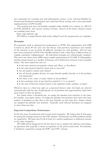size constraints for rewriting and unit-subsumption, feature vector indexing [Sch04a] for forward and backward subsumption and contextual literal cutting, and a new polynomial implementation of LPO [Loe04].

The program has been successfully installed under SunOS 4.3.x, Solaris 2.x, HP-UX B 10.20, MacOS-X, and various versions of Linux. Sources of the latest released version are available freely from

### http://www.eprover.org

EP 0.999 is a simple Bourne shell script calling E and the postprocessor in a pipeline.

### Strategies

E's automatic mode is optimized for performance on TPTP. The optimization of E 0.999 is based on about 90 test runs over the library (and previous experience) and consists of the selection of one of about 40 different strategies for each problem. All test runs have been performed on SUN Ultra 60/300 machines with a time limit of 300 seconds (or roughly equivalent configurations). All individual strategies are refutationally complete. The worst one solves about 49We expect similar optimization for E 0.999. E distinguishes problem classes based on a number of features, all of which have between 2 and 4 possible values. The most important ones are

- Is the most general non-negative clause unit, Horn, or Non-Horn?
- Is the most general negative clause unit or non-unit?
- Are all negative clauses unit clauses?
- Are all literals equality literals, are some literals equality literals, or is the problem non-equational?
- Are there a few, some, or many clauses in the problem?
- Is the maximum arity of any function symbol 0, 1, 2, or greater?
- Is the sum of function symbol arities in the signature small, medium, or large?

Wherever there is a three-way split on a numerical feature value, the limits are selected automatically with the aim of splitting the set of problems into approximately equal sized parts based on this one feature.

For classes above a threshold size, we assign the absolute best heuristic to the class. For smaller, non-empty classes, we assign the globally best heuristic that solves the same number of problems on this class as the best heuristic on this class does. Empty classes are assigned the globally best heuristic. Typically, most selected heuristics are assigned to more than one class.

### Expected Competition Performance

In the last years, E performed well in most proof categories. We believe that E will again be among the stronger provers in the CNF category. Performance on FOF problems should be competitive. We hope that E will at least be a useful complement to dedicated systems in the other categories.

EP 0.999 will be hampered by the fact that it has to analyse the inference step listing, an operation that typically is about as expensive as the proof search itself. Nevertheless, it should be competitive among the FOF∗ and CNF∗ systems.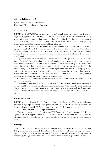# 7.5 E-KRHyper 1.0

Björn Pelzer, Christoph Wernhard Universität Koblenz-Landau, Germany

### Architecture

E-KRHyper 1.0 [PW07] is a theorem proving and model generation system for first-order logic with equality. It is an implementation of the E-hyper tableau calculus [BFP07], which integrates a superposition-based handling of equality [BG98] into the hyper tableau calculus [BFN96]. The system is an extension of the KRHyper theorem prover [Wer03], which implements the original hyper tableau calculus.

An E-hyper tableau is a tree whose nodes are labeled with clauses and which is built up by the application of the inference rules of the E-hyper tableau calculus. The calculus rules are designed such that most of the reasoning is performed using positive unit clauses. A branch can be extended with new clauses that have been derived from the clauses of that branch.

A positive disjunction can be used to split a branch, creating a new branch for each disjunct. No variables may be shared between branches, and if a case-split creates branches with shared variables, then these are immediately substituted by ground terms. The grounding substitution is arbitrary as long as the terms in its range are irreducible: the branch being split may not contain a positive equational unit which can simplify a substituting term, i.e. rewrite it with one that is smaller according to a reduction ordering. When multiple irreducible substitutions are possible, each of them must be applied in consecutive splittings in order to preserve completeness.

Redundancy rules allow the detection and removal of clauses that are redundant with respect to a branch.

The hyper extension inference from the original hyper tableau calculus is equivalent to a series of E-hyper tableau calculus inference applications. Therefore the implementation of the hyper extension in KRHyper by a variant of semi-naive evaluation [Ull89] is retained in E-KRHyper, where it serves as a shortcut inference for the resolution of non-equational literals.

### Implementation

E-KRHyper is implemented in the functional/imperative language OCaml with additional preprocessing scripts in Prolog. The system runs on Unix and MS-Windows platforms and is available under the GNU Public License from the E-KRHyper website at

http://www.uni-koblenz.de/ bpelzer/ekrhyper

The system accepts clause input in the TPTP-supported Protein-format. E-KRHyper operates on an E-hyper tableau that is represented by linked node records. A layered discrimination-tree based index provides access to the clauses in the tableau and supports backtracking.

### Strategies

This first version of E-KRHyper uses a uniform search strategy for all problems. The E-hyper tableau is generated depth-first, with E-KRHyper always working on a single branch. Refutational completeness and a fair search control are ensured by an iterative deepening strategy with a limit on the maximum term weight of generated clauses.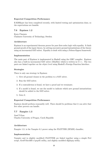# Expected Competition Performance

E-KRHyper has been completed recently, with limited testing and optimization done, so the expectations are humble.

# 7.6 Equinox 1.2

Koen Claessen Chalmers University of Technology, Sweden

# Architecture

Equinox is an experimental theorem prover for pure first-order logic with equality. It finds ground proofs of the input theory, by solving successive ground instantiations of the theory using an incremental SAT-solver. Equality is dealt with using a Nelson-Oppen framework.

# Implementation

The main part of Equinox is implemented in Haskell using the GHC compiler. Equinox also has a built-in incremental SAT solver (MiniSat) which is written in  $C_{++}$ . The two parts are linked together on the object level using Haskell's Foreign Function Interface.

# Strategies

There is only one strategy in Equinox:

- 1. Give all ground clauses in the problem to a SAT solver.
- 2. Run the SAT-solver.
- 3. If a contradiction is found, we have a proof and we terminate.
- 4. If a model is found, we use the model to indicate which new ground instantiations should be added to the SAT-solver.
- 5. Goto 2.

# Expected Competition Performance

Equinox should perform reasonably well. There should be problems that it can solve that few other provers can handle.

# 7.7 Fampire 1.3

Josef Urban Charles University of Prague, Czech Republic

# Architecture

Fampire 1.3. is the Vampire 8.1 prover using the FLOTTER (SPASS) clausifier.

# Implementation

Vampire and (a slightly modified) FLOTTER are linked together using a simple Perl script, Geoff Sutcliffe's tptp4X utility, and slightly modified dfg2tptp utility.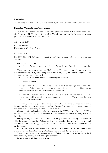### Strategies

The strategy is to use the FLOTTER clausifier, and run Vampire on the CNF problem.

### Expected Competition Performance

The system outperforms Vampire 8.1 on Mizar problems, however it is weaker than Vampire 8.1 on the TPTP library (for which is Vampire pre-optimized). It could solve some problems that Vampire 8.1 will not solve.

### 7.8 Geo 2007j

Hans de Nivelle University of Wroclaw, Poland

### Architecture

Geo [dNM06, dN07] is based on geometric resolution. A geometric formula is a formula of form:

FORALL x1, ..., xn  $[ A1 / \ldots / \text{ Ap} / \text{ v1} != w1 / \ldots / \text{ vq} != wq - kgt; Z(x1, \ldots, xn) ].$ 

The Ai are atoms not containing (dis)equality. The arguments of the atoms Ai and the inequalities  $vj := wj$  are among the variables  $x1, \ldots, xn$ . Function symbols and constant symbols are not allowed.

 $Z(x1,...,xn)$  must have one of the following three forms:

- 1. The constant FALSE.
- 2. A disjunction B1 ... Br. The atoms Bk must be non-equality atoms. The arguments of the atoms Bk are among the variables  $x1, \ldots, xn$ . There are no function symbols, and no constants in the atoms Bk.
- 3. An existential quantification EXISTS y B. y is a variable distinct from  $x1, \ldots, xn$ . B is an atom which has all arguments among  $x1, \ldots, xn, y$ . There are no function symbols and constants in B.

As input, Geo accepts geometric formulas and first-order formulas. First-order formulas are transformed into geometric formulas. During this translation, function symbols and constants are removed, and replaced by relations.

Geo accepts formulas either in its own syntax or in TPTP-syntax. Because CNF has no special status for Geo, TPTP-formulas in CNF form are treated as ordinary first-order formulas.

During search, Geo searches for a model of the geometric formulas by a combination of backtracking and learning. Whenever it cannot extend an interpretation into a model, Geo learns a new rule of Type 1, which ensures that Geo will not explore similar models in the future.

In case Geo finds a finite model, it simply prints the model. In case no model exists, it will eventually learn the rule -¿ FALSE, so that it is able to output a proof.

The final aim of geometric resolution, and of Geo, is to obtain a prover that is both good at finding proofs, and at finding finite models.

Differences with last year (2006)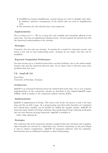- Geo2007j has lemma simplification. Learnt lemmas are used to simplify each other. In addition, inductive consequences of the initial rules are used as simplification rules.
- The heuristics for rule selection have been improved.

# Implementation

Geo is written in  $C++$ . We try to keep the code readable and reasonably efficient at the same time. Geo has no sophisticated datastructures. At this moment the priority lies with the theoretical understanding of the calculus.

# Strategies

Currently, Geo has only one strategy: It searches for a model by exhaustive search, and learns a new rule at each backtracking point. Lemmas do not expire, but they can be simplified.

# Expected Competition Performance

Geo has become up to a hundred times faster on hard problems, due to the added simplification rules and the improved selection rules. So we expect that it will solve some more problems than last year.

# 7.9 leanCoP 2.0

Jens Otten University of Potsdam, Germany

# Architecture

leanCoP is an automated theorem prover for classical first-order logic. It is a very compact implementation of the connection calculus as described in the original leanCoP paper [OB03], which is similar to the connection tableau calculus [LS01].

# Implementation

leanCoP is implemented in Prolog. The source code of the core prover is only a few lines long and fits on half a page. In a preprocessing step first-order formulas are translated into clausal form; equality can be handled by adding the equality axioms. leanCoP 2.0 keeps the input clauses in Prolog's database thus integrating Prolog's indexing mechanism into the lean theorem proving framework. leanCoP is available at

http://www.leancop.de

# Strategies

The reduction rule of the connection calculus is applied before the extension rule is applied. Open branches are selected in a depth-first way. Iterative deepening on the proof depth is used to achieve completeness. leanCoP 2.0 integrates inference rules for regularity, factorization and an additional technique to limit backtracking.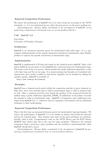### Expected Competition Performance

We expect the performance of leanCoP 2.0 to be state-of-the-art according to the TPTP standards, i.e. it is not subsumed by any other theorem prover on the given problem set.

Acknowledgments: Thomas Raths contributed to the development of leanCoP 2.0 by performing comprehensive benchmark tests on several problem libraries.

### 7.10 ileanCoP 1.2

Jens Otten University of Potsdam, Germany

### Architecture

ileanCoP is an automated theorem prover for intuitionistic first-order logic. It is a very compact implementation of the clausal connection calculus for intuitionistic logic [Ott05], prefixes to capture the specific restrictions of intuitionistic logic.

### Implementation

ileanCoP is implemented in Prolog and based on the classical prover leanCoP. Only a few minor additions are necessary to turn leanCoP into a theorem prover for intuitionistic logic. The source code of the core prover, which includes the prefix unification algorithm, is only a few lines long and fits on one page. In a preprocessing step formulas are translated into clausal form and a prefix is added to each literal. Equality can be handled by adding the equality axioms. ileanCoP is available at

http://www.leancop.de/ileancop

### Strategies

ileanCoP uses a classical proof search within the connection calculus to prove classical validity first, since every formula that is valid in intuitionistic logic is valid in classical logic as well. After a classical proof has been found the prefixes of the connected literals are unified using a prefix unification algorithm [OK96]. If unification of all prefixes succeeds the formula is valid in intuitionistic logic. ileanCoP 1.2 integrates some additional techniques from leanCoP 2.0, i.e. inference rules for regularity, factorization and an additional technique to limit backtracking.

### Expected Competition Performance

This is the first time an automated theorem prover for intuitionistic logic participates. We expect the performance of ileanCoP 1.2 to be similar to former state-of-the-art theorem provers for classical logic. This assumes that most of the given problems are intuitionistically valid as well. Comprehensive tests on the TPTP library and the ILTP library [ROK07] have shown that this is the case for many problems. Whenever the classical component finds a proof for a given problem and the problem is intuitionistically valid, ileanCoP should find a proof.

Acknowledgments: Thomas Raths contributed to the development of ileanCoP by performing comprehensive benchmark tests on several problem libraries.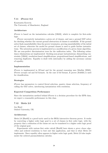# 7.11 iProver 0.2

Konstantin Korovin The University of Manchester, England

# Architecture

iProver is based on the instantiation calculus [GK03], which is complete for first-order logic.

iProver successively instantiates a given set of clauses, and uses a ground SAT solver for checking whether the current ground abstraction of clauses is satisfiable. If the ground solver finds unsatisfiability then the prover terminates, proving unsatisfiability of the initial set of clauses; otherwise the model for ground clauses is used to guide further instantiations. The saturation process is implemented as a modification of a given clause algorithm. We use non-perfect discrimination trees for the unification index. The following redundancy eliminations are implemented: blocking non-proper instantiations; dismatching constraints [GK04]; resolution-based simplifications; propositional-based simplifications, and removing duplicates. Equality is dealt with (internally) by adding the necessary axioms of equality.

# Implementation

iProver is implemented in OCaml and for the ground reasoning uses MiniSat [ES05]. iProver accepts cnf and fof formats. In the case of fof format, E prover [Sch02b] is used for clausification.

### Strategies

iProver has parameters to control literal selection, passive clause selection, frequency of calling the SAT solver, interleaving instantiation with resolution.

# Expected Competition Performance

Since the instantiation method behind iProver is a decision procedure for the EPR class, we expect a reasonable performance in this class.

# 7.12 Metis 2.0

Joe Hurd Oxford University, UK

# Architecture

Metis 2.0 [Hur03] is a proof tactic used in the HOL4 interactive theorem prover. It works by converting a higher order logic goal to a set of clauses in first order logic, with the property that a refutation of the clause set can be translated to a higher order logic proof of the original goal.

Experiments with various first order calculi [Hur03] have shown a *given clause algo*rithm and ordered resolution to best suit this application, and that is what Metis 2.0 implements. Since equality often appears in higher order logic goals, Metis 2.0 also implements the ordered paramodulation calculus.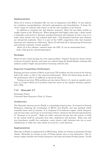### Implementation

Metis 2.0 is written in Standard ML, for ease of integration with HOL4. It uses indexes for resolution, paramodulation, (forward) subsumption and demodulation. It keeps the Active clause set reduced with respect to all the unit equalities so far derived.

In addition to standard size and distance measures, Metis 2.0 uses finite models to weight clauses in the *Waiting* set. When integrated with higher order logic, a finite model is manually constructed to interpret standard functions and relations in such a way as to make many axioms true and negated goals false. Non-standard functions and relations are interpreted randomly. Since it is part of the CASC competition rules that standard functions and relations are obfuscated, Metis 2.0 will back-off to interpreting all functions and relations randomly (except equality).

Metis 2.0 is free software, released under the GPL. It can be downloaded from http://www.gilith.com/software/metis

### Strategies

Metis 2.0 uses a fixed strategy for every input problem. Negative literals are always chosen in favour of positive literals, and terms are ordered using the Knuth-Bendix ordering with uniform symbol weight and precedence favouring reduced arity.

### Expected Competition Performance

Running previous versions of Metis on previous CNF problem sets has scored in the bottom half of the table, so that is the expected performance. Met is 2.0 always keeps proofs, so the performance will be no different in the proof classes.

Testing on previous UEQ problem sets has shown Metis to be weak on equality problems, so I expect Metis 2.0 to perform relatively worse on the equality divisions, particularly UEQ.

# 7.13 Muscadet 2.7

Dominique Pastre Université René Descartes (Paris 5), France

### Architecture

The Muscadet theorem prover [Pas01] is a knowledge-based system. It is based on Natural Deduction, following the terminology of [Ble71] and [Pas78], and uses methods which resembles those used by humans. It is composed of an inference engine, which interprets and executes rules, and of one or several bases of facts, which are the internal representation of "theorems to be proved". Rules are either universal and put into the system, or built by the system itself by metarules from data (definitions and lemmas). Rules may add new hypotheses, modify the conclusion, create objects, split theorems into two or more subtheorems or build new rules which are local for a (sub-)theorem.

### Implementation

Muscadet 2 [Pas01] is implemented in SWI-Prolog. Rules are written as declarative Prolog clauses. Metarules are written as sets of Prolog clauses, more or less declarative. The inference engine includes the Prolog interpreter and some procedural Prolog clauses. Proofs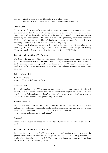can be obtained in natural style. Muscadet 2 is available from

http://www.math-info.univ-paris5.fr/ pastre/muscadet/muscadet.html

### Strategies

There are specific strategies for existential, universal, conjunctive or disjunctive hypotheses and conclusions. Functional symbols may be used, but an automatic creation of intermediate objects allows deep subformulae to be flattened and treated as if the concepts were defined by predicate symbols. The successive steps of a proof may be forward deduction (deduce new hypotheses from old ones), backward deduction (replace the conclusion by a new one) or refutation (only if the conclusion is a negation).

The system is also able to work with second order statements. It may also receive knowledge and know-how for a specific domain from a human user; see [Pas89, Pas93]. These two possibilities are not used while working with the TPTP Library.

### Expected Competition Performance

The best performances of Muscadet will be for problems manipulating many concepts in which all statements (conjectures, definitions, axioms) are expressed in a manner similar to the practice of humans, especially of mathematicians [Pas02, Pas07]. It will have poor performances for problems using few concepts but large and deep formulas leading to many splittings.

### 7.14 Otter 3.3

William McCune Argonne National Laboratory, USA

### Architecture

Otter 3.3 [McC03] is an ATP system for statements in first-order (unsorted) logic with equality. Otter is based on resolution and paramodulation applied to clauses. An Otter search uses the "given clause algorithm", and typically involves a large database of clauses; subsumption and demodulation play an important role.

### Implementation

Otter is written in C. Otter uses shared data structures for clauses and terms, and it uses indexing for resolution, paramodulation, forward and backward subsumption, forward and backward demodulation, and unit conflict. Otter is available from

http://www-unix.mcs.anl.gov/AR/otter/

### Strategies

Otter's original automatic mode, which reflects no tuning to the TPTP problems, will be used.

### Expected Competition Performance

Otter has been entered into CASC as a stable benchmark against which progress can be judged (there have been only minor changes to Otter since 1996 [MW97], nothing that really affects its performace in CASC). This is not an ordinary entry, and we do not hope for Otter to do well in the competition.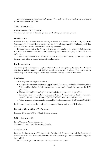Acknowledgments: Ross Overbeek, Larry Wos, Bob Veroff, and Rusty Lusk contributed to the development of Otter.

# 7.15 Paradox 1.3

Koen Claessen, Niklas Sörensson

Chalmers University of Technology and Gothenburg University, Sweden

### Architecture

Paradox [CS03] is a finite-domain model generator. It is based on a MACE-style [McC94] flattening and instantiating of the first-order clauses into propositional clauses, and then the use of a SAT solver to solve the resulting problem.

Paradox incorporates the following features: Polynomial-time clause splitting heuristics, the use of incremental SAT, static symmetry reduction techniques, and the use of sort inference.

The main differences with Paradox 1.0 are: a better SAT-solver, better memory behaviour, and a faster clause instantiation algorithm.

### Implementation

The main part of Paradox is implemented in Haskell using the GHC compiler. Paradox also has a built-in incremental SAT solver which is written in  $C++$ . The two parts are linked together on the object level using Haskell's Foreign Function Interface.

### Strategies

There is only one strategy in Paradox:

- Analyze the problem, finding an upper bound N on the domain size of models, where N is possibly infinite. A finite such upper bound can be found, for example, for EPR problems.
- Flatten the problem, and split clauses and simplify as much as possible.
- Instantiate the problem for domain sizes 1 up to N, applying the SAT solver incrementally for each size. Report "SATISFIABLE" when a model is found.
- When no model of sizes smaller or equal to N is found, report "CONTRADICTION".

In this way, Paradox can be used both as a model finder and as an EPR solver.

### Expected Competition Performance

Paradox 1.3 is the CASC-J3 SAT division winner.

# 7.16 Paradox 2.2

Koen Claessen, Niklas Sörensson Chalmers University of Technology, Sweden

### Architecture

Paradox 2.2 is a rewrite of Paradox 1.3. Paradox 2.2 does not have all the features yet that Paradox 1.3 has. Some experimental features, such as type-based model finding, have been added.

See the description of Paradox 1.3 for general information.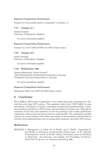# Expected Competition Performance

Paradox 2.2 will probably perform comparably to Paradox 1.3.

# 7.17 Vampire 8.1

Andrei Voronkov University of Manchester, England

No system description supplied.

# Expected Competition Performance

Vampire 8.1 is the CASC-J3 FOF and CNF division winner.

# 7.18 Vampire 9.0

Andrei Voronkov University of Manchester, England

No system description supplied.

# 7.19 Waldmeister 806

Thomas Hillenbrand<sup>1</sup>, Bernd Löchner<sup>2</sup>  $1$ Max-Planck-Institut für Informatik Saarbrücken, Germany <sup>2</sup>Technische Universität Kaiserslautern, Germany

No system description supplied.

# Expected Competition Performance

Waldmeister 806 is the CASC-J3 UEQ division winner.

# 8 Conclusion

The CADE-21 ATP System Competition is the twelfth large scale competition for classical first-order logic ATP systems. The organizers believe that CASC fulfills its main motivations: stimulation of research, motivation for improving implementations, evaluation of relative capabilities of ATP systems, and providing an exciting event. Through the continuity of the event and consistency in the the reporting of the results, performance comparisons with previous and future years are easily possible. The competition provides exposure for system builders both within and outside of the community, and provided an overview of the implementation state of running, fully automatic, first order ATP systems.

# References

[BFdNT06] P. Baumgartner, A. Fuchs, H. de Nivelle, and C. Tinelli. Computing Finite Models by Reduction to Function-Free Clause Logic. In W. Ahrendt, P. Baumgartner, and H. de Nivelle, editors, *Proceedings of the 3rd Workshop* on Disproving - Non-Theorems, Non-Validity, Non-Provability, 3rd International Joint Conference on Automated Reasoning, 2006.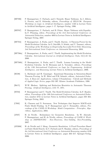- [BFN96] P. Baumgartner, U. Furbach, and I. Niemelä. Hyper Tableaux. In J. Alferes, L. Pereira, and E. Orlowska, editors, Proceedings of JELIA'96: European Workshop on Logic in Artificial Intelligence, number 1126 in Lecture Notes in Artificial Intelligence, pages 1–17. Springer-Verlag, 1996.
- [BFP07] P. Baumgartner, U. Furbach, and B. Pelzer. Hyper Tableaux with Equality. In F. Pfenning, editor, *Proceedings of the 21st International Conference on* Automated Deduction, number 4603 in Lecture Notes in Artificial Intelligence. Springer-Verlag, 2007.
- [BFT04] P. Baumgartner, A. Fuchs, and C. Tinelli. Darwin A Theorem Prover for the Model Evolution Calculus. In G. Sutcliffe, S. Schulz, and T. Tammet, editors, Proceedings of the Workshop on Empirically Successful First Order Reasoning, 2nd International Joint Conference on Automated Reasoning, 2004.
- [BFT06a] P. Baumgartner, A. Fuchs, and C. Tinelli. Implementing the Model Evolution Calculus. International Journal on Artificial Intelligence Tools, 15(1):21–52, 2006.
- [BFT06b] P. Baumgartner, A. Fuchs, and C. Tinelli. Lemma Learning in the Model Evolution Calculus. In M. Hermann and A. Voronkov, editors, Proceedings of the 13th International Conference on Logic for Programming, Artificial Intelligence, and Reasoning, Lecture Notes in Artificial Intelligence, 2006.
- [BG98] L. Bachmair and H. Ganzinger. Equational Reasoning in Saturation-Based Theorem Proving. In W. Bibel and P.H. Schmitt, editors, Automated Deduction, A Basis for Applications, volume I Foundations - Calculi and Methods of Applied Logic Series, pages 352–397. Kluwer Academic Publishers, 1998.
- [Ble71] W.W. Bledsoe. Splitting and Reduction Heuristics in Automatic Theorem Proving. Artificial Intelligence, 2:55–77, 1971.
- [BT03] P. Baumgartner and C. Tinelli. The Model Evolution Calculus. In F. Baader, editor, Proceedings of the 19th International Conference on Automated Deduction, number 2741 in Lecture Notes in Artificial Intelligence, pages 350–364. Springer-Verlag, 2003.
- [CS03] K. Claessen and N. Sorensson. New Techniques that Improve MACE-style Finite Model Finding. In P. Baumgartner and C. Fermueller, editors, Proceedings of the CADE-19 Workshop: Model Computation - Principles, Algorithms, Applications, 2003.
- [dN07] H. de Nivelle. Redundancy for Geometric Resolution. In W. Ahrendt, P. Baumgartner, and H. de Nivelle, editors, Proceedings of CADE-21 Workshop on DISPROVING - Non-Theorems, Non-Validity, Non-Provability, 2007.
- [dNM06] H. de Nivelle and J. Meng. Geometric Resolution: A Proof Procedure Based on Finite Model Search. In U. Furbach and N. Shankar, editors, Proceedings of the 3rd International Joint Conference on Automated Reasoning, number 4130 in Lecture Notes in Artificial Intelligence, pages 303–317. Springer-Verlag, 2006.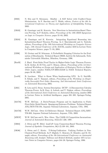- [ES05] N. Eén and N. Sörensson. MiniSat A SAT Solver with Conflict-Clause Minimization. In F. Bacchus and T. Walsh, editors, Posters of the 8th International Conference on Theory and Applications of Satisfiability Testing, 2005.
- [GK03] H. Ganzinger and K. Korovin. New Directions in Instantiation-Based Theorem Proving. In P. Kolaitis, editor, Proceedings of the 18th IEEE Symposium on Logic in Computer Science, pages 55–64, 2003.
- [GK04] H. Ganzinger and K. Korovin. Integrating Equational Reasoning into Instantiation-Based Theorem Proving. In J. Marcinkowski and A. Tarlecki, editors, Proceedings of the 18th International Workshop on Computer Science Logic, 13th Annual Conference of the EACSL, number 3210 in Lecture Notes in Computer Science, pages 71–84, 2004.
- [GS96] M. Greiner and M. Schramm. A Probablistic Stopping Criterion for the Evaluation of Benchmarks. Technical Report I9638, Institut für Informatik, Technische Universität München, München, Germany, 1996.
- [Hur03] J. Hurd. First-Order Proof Tactics in Higher-Order Logic Theorem Provers. In M. Archer, B. Di Vito, and C. Munoz, editors, Proceedings of the 1st International Workshop on Design and Application of Strategies/Tactics in Higher Order Logics, number NASA/CP-2003-212448 in NASA Technical Reports, pages 56–68, 2003.
- [Loe04] B. Loechner. What to Know When Implementing LPO. In G. Sutcliffe, S. Schulz, and T. Tammet, editors, Proceedings of the Workshop on Empirically Successful First Order Reasoning, 2nd International Joint Conference on Automated Reasoning, 2004.
- [LS01] R. Letz and G. Stenz. System Description: DCTP A Disconnection Calculus Theorem Prover. In R. Gore, A. Leitsch, and T. Nipkow, editors, Proceedings of the International Joint Conference on Automated Reasoning, number 2083 in Lecture Notes in Artificial Intelligence, pages 381–385. Springer-Verlag, 2001.
- [McC94] W.W. McCune. A Davis-Putnam Program and its Application to Finite First-Order Model Search: Quasigroup Existence Problems. Technical Report ANL/MCS-TM-194, Argonne National Laboratory, Argonne, USA, 1994.
- [McC03] W.W. McCune. Otter 3.3 Reference Manual. Technical Report ANL/MSC-TM-263, Argonne National Laboratory, Argonne, USA, 2003.
- [MW97] W.W. McCune and L. Wos. Otter: The CADE-13 Competition Incarnations. Journal of Automated Reasoning, 18(2):211–220, 1997.
- [OB03] J. Otten and W. Bibel. leanCoP: Lean Connection-Based Theorem Proving. Journal of Symbolic Computation, 36(1-2):139–161, 2003.
- [OK96] J. Otten and C. Kreitz. T-String-Unification: Unifying Prefixes in Non-Classical Proof Methods. In P. Miglioli, U. Moscato, D. Mundici, and M. Ornaghi, editors, Proceedings of the 5th International Conference on Automated Reasoning with Analytic Tableaux and Related Methods, number 1071 in Lecture Notes in Computer Science, pages 244–20. Springer-Verlag, 1996.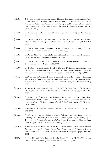| [Ott05]  | J. Otten. Clausal Connection-Based Theorem Proving in Intuitionistic First-<br>Order Logic. In B. Beckert, editor, Proceedings of the 14th International Con-<br>ference on Automated Reasoning with Analytic Tableaux and Related Meth-<br>ods, number 3702 in Lecture Notes in Artificial Intelligence, pages 245–261.<br>Springer-Verlag, 2005. |
|----------|----------------------------------------------------------------------------------------------------------------------------------------------------------------------------------------------------------------------------------------------------------------------------------------------------------------------------------------------------|
| [Pas78]  | D. Pastre. Automatic Theorem Proving in Set Theory. Artificial Intelligence,<br>$10:1-27$ , 1978.                                                                                                                                                                                                                                                  |
| [Pass9]  | D. Pastre. Muscadet: An Automatic Theorem Proving System using Knowl-<br>edge and Metaknowledge in Mathematics. Artificial Intelligence, 38:257-318,<br>1989.                                                                                                                                                                                      |
| [Pas93]  | D. Pastre. Automated Theorem Proving in Mathematics. Annals of Mathe-<br>matics and Artificial Intelligence, 8:425-447, 1993.                                                                                                                                                                                                                      |
| [Pas01]  | D. Pastre. Muscadet version 2.3 : User's Manual. http://www.math-info.univ-<br>$\text{paris}5.\text{fr}/\text{pastre/muscadet/manual-en.ps}, 2001.$                                                                                                                                                                                                |
| [Pas02]  | D. Pastre. Strong and Weak Points of the Muscadet Theorem Prover. AI<br>$Communications, 15(2-3):147-160, 2002.$                                                                                                                                                                                                                                   |
| [Pas07]  | Complementarity of a Natural Deduction Knowledge-based<br>D. Pastre.<br>Prover and Resolution-based Provers in Automated Theorem Proving.<br>http://www.math-info.univ-paris5.fr/ pastre/compl-NDKB-RB.pdf, 2007.                                                                                                                                  |
| [PW07]   | B. Pelzer and C. Wernhard. System Description: E-KRHyper. In F. Pfenning,<br>editor, Proceedings of the 21st International Conference on Automated Deduc-<br>tion, number 4603 in Lecture Notes in Artificial Intelligence. Springer-Verlag,<br>2007.                                                                                              |
| [ROK07]  | T. Raths, J. Otten, and C. Kreitz. The ILTP Problem Library for Intuition-<br>istic Logic - Release v1.1. Journal of Automated Reasoning, $38(1-2):261-271$ ,<br>2007.                                                                                                                                                                             |
| [Sch02a] | A Comparison of Different Techniques for Grounding Near-<br>S. Schulz.<br>Propositional CNF Formulae. In S. Haller and G. Simmons, editors, Pro-<br>ceedings of the 15th International FLAIRS Conference, pages 72–76. AAAI<br>Press, 2002.                                                                                                        |
| [Sch02b] | S. Schulz. E: A Brainiac Theorem Prover. AI Communications, 15(2-3):111–<br>126, 2002.                                                                                                                                                                                                                                                             |
| [Sch04a] | S. Schulz. Simple and Efficient Clause Subsumption with Feature Vector<br>Indexing. In G. Sutcliffe, S. Schulz, and T. Tammet, editors, <i>Proceedings of the</i><br>Workshop on Empirically Successful First Order Reasoning, 2nd International<br>Joint Conference on Automated Reasoning, 2004.                                                 |
| [Sch04b] | S. Schulz. System Abstract: E 0.81. In M. Rusinowitch and D. Basin, editors,<br>Proceedings of the 2nd International Joint Conference on Automated Reason-<br>ing, number 3097 in Lecture Notes in Artificial Intelligence, pages 223–228,<br>2004.                                                                                                |
| [SS97a]  | G. Sutcliffe and C.B. Suttner. Special Issue: The CADE-13 ATP System<br>Competition. Journal of Automated Reasoning, 18(2), 1997.                                                                                                                                                                                                                  |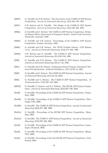| [SS97b]  | G. Sutcliffe and C.B. Suttner. The Procedures of the CADE-13 ATP System<br>Competition. Journal of Automated Reasoning, 18(2):163-169, 1997.                                         |
|----------|--------------------------------------------------------------------------------------------------------------------------------------------------------------------------------------|
| [SS97c]  | C.B. Suttner and G. Sutcliffe. The Design of the CADE-13 ATP System<br>Competition. Journal of Automated Reasoning, 18(2):139–162, 1997.                                             |
| [SS98a]  | G. Sutcliffe and C. Suttner. The CADE-14 ATP System Competition. Techni-<br>cal Report 98/01, Department of Computer Science, James Cook University,<br>Townsville, Australia, 1998. |
| [SS98b]  | G. Sutcliffe and C.B. Suttner. Proceedings of the CADE-15 ATP System<br>Competition. Lindau, Germany, 1998.                                                                          |
| [SS98c]  | G. Sutcliffe and C.B. Suttner. The TPTP Problem Library: CNF Release<br>v1.2.1. Journal of Automated Reasoning, $21(2):177-203$ , 1998.                                              |
| [SS98d]  | C.B. Suttner and G. Sutcliffe. The CADE-14 ATP System Competition.<br>Journal of Automated Reasoning, 21(1):99–134, 1998.                                                            |
| [SS99]   | G. Sutcliffe and C.B. Suttner. The CADE-15 ATP System Competition.<br>Journal of Automated Reasoning, $23(1):1-23$ , 1999.                                                           |
| [SS01]   | G. Sutcliffe and C.B. Suttner. Evaluating General Purpose Automated The-<br>orem Proving Systems. Artificial Intelligence, 131(1-2):39–54, 2001.                                     |
| [SS03]   | G. Sutcliffe and C. Suttner. The CADE-18 ATP System Competition. Journal<br>of Automated Reasoning, $31(1):23-32$ , 2003.                                                            |
| [SS04]   | G. Sutcliffe and C. Suttner. The CADE-19 ATP System Competition. AI<br><i>Communications</i> , 17(3):103-182, 2004.                                                                  |
| [SSP02]  | G. Sutcliffe, C. Suttner, and F.J. Pelletier. The IJCAR ATP System Compe-<br>tition. Journal of Automated Reasoning, $28(3):307-320$ , $2002$ .                                      |
| [Sut99]  | G. Sutcliffe. Proceedings of the CADE-16 ATP System Competition. Trento,<br>Italy, 1999.                                                                                             |
| [Sub0a]  | G. Sutcliffe. Proceedings of the CADE-17 ATP System Competition. Pitts-<br>burgh, USA, 2000.                                                                                         |
| [Sub00b] | G. Sutcliffe. The CADE-16 ATP System Competition. Journal of Automated<br><i>Reasoning</i> , $24(3):371-396$ , $2000$ .                                                              |
| [Sut01a] | G. Sutcliffe. Proceedings of the IJCAR ATP System Competition. Siena,<br>Italy, 2001.                                                                                                |
| [Sut01b] | G. Sutcliffe. The CADE-17 ATP System Competition. Journal of Automated<br>Reasoning, $27(3):227-250$ , $2001$ .                                                                      |
| [Sut02]  | G. Sutcliffe. Proceedings of the CADE-18 ATP System Competition. Copen-<br>hagen, Denmark, 2002.                                                                                     |
| [Sut03]  | G. Sutcliffe. Proceedings of the CADE-19 ATP System Competition. Miami,<br>USA, 2003.                                                                                                |
| [Sut04]  | G. Sutcliffe. Proceedings of the 2nd IJCAR ATP System Competition. Cork,<br>Ireland, $2004$ .                                                                                        |